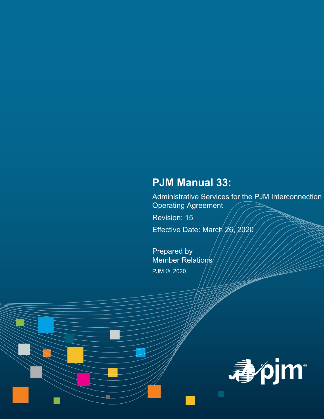# **PJM Manual 33:**

Administrative Services for the PJM Interconnection Operating Agreement

Revision: 15

Effective Date: March 26, 2020

Prepared by Member Relations/ PJM © 2020

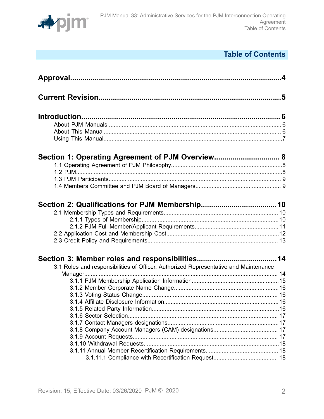

# **Table of Contents**

| Section 1: Operating Agreement of PJM Overview 8                                     |  |
|--------------------------------------------------------------------------------------|--|
|                                                                                      |  |
| 3.1 Roles and responsibilities of Officer. Authorized Representative and Maintenance |  |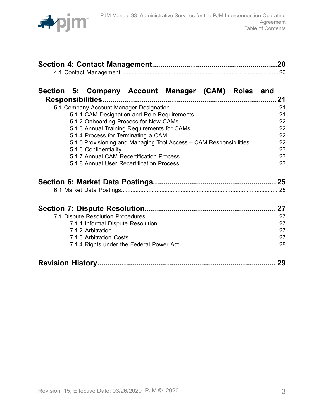

# **[Section 5: Company Account Manager \(CAM\) Roles and](#page-20-0)**

| 5.1.5 Provisioning and Managing Tool Access - CAM Responsibilities 22 |  |
|-----------------------------------------------------------------------|--|
|                                                                       |  |
|                                                                       |  |
|                                                                       |  |
|                                                                       |  |

|--|--|--|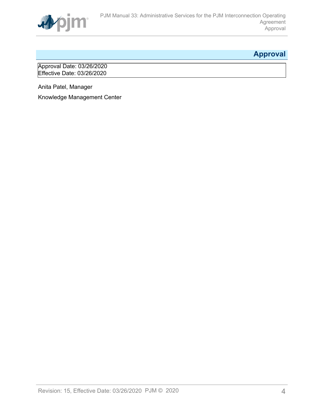

# <span id="page-3-0"></span>**Approval**

Approval Date: 03/26/2020 Effective Date: 03/26/2020

Anita Patel, Manager

Knowledge Management Center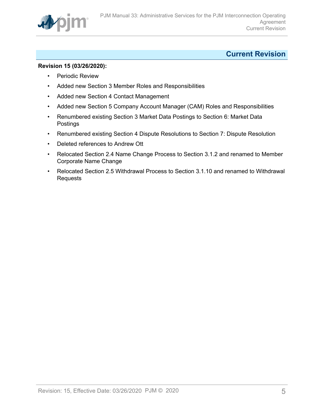

# <span id="page-4-0"></span>**Current Revision**

### **Revision 15 (03/26/2020):**

- Periodic Review
- Added new Section 3 Member Roles and Responsibilities
- Added new Section 4 Contact Management
- Added new Section 5 Company Account Manager (CAM) Roles and Responsibilities
- Renumbered existing Section 3 Market Data Postings to Section 6: Market Data Postings
- Renumbered existing Section 4 Dispute Resolutions to Section 7: Dispute Resolution
- Deleted references to Andrew Ott
- Relocated Section 2.4 Name Change Process to Section 3.1.2 and renamed to Member Corporate Name Change
- Relocated Section 2.5 Withdrawal Process to Section 3.1.10 and renamed to Withdrawal Requests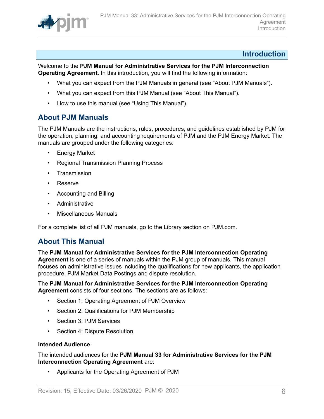

## <span id="page-5-0"></span>**Introduction**

Welcome to the **PJM Manual for Administrative Services for the PJM Interconnection Operating Agreement**. In this introduction, you will find the following information:

- What you can expect from the PJM Manuals in general (see "About PJM Manuals").
- What you can expect from this PJM Manual (see "About This Manual").
- How to use this manual (see "Using This Manual").

## <span id="page-5-1"></span>**About PJM Manuals**

The PJM Manuals are the instructions, rules, procedures, and guidelines established by PJM for the operation, planning, and accounting requirements of PJM and the PJM Energy Market. The manuals are grouped under the following categories:

- **Energy Market**
- Regional Transmission Planning Process
- Transmission
- Reserve
- Accounting and Billing
- Administrative
- Miscellaneous Manuals

For a complete list of all PJM manuals, go to the Library section on PJM.com.

## <span id="page-5-2"></span>**About This Manual**

The **PJM Manual for Administrative Services for the PJM Interconnection Operating Agreement** is one of a series of manuals within the PJM group of manuals. This manual focuses on administrative issues including the qualifications for new applicants, the application procedure, PJM Market Data Postings and dispute resolution.

## The **PJM Manual for Administrative Services for the PJM Interconnection Operating Agreement** consists of four sections. The sections are as follows:

- Section 1: Operating Agreement of PJM Overview
- Section 2: Qualifications for PJM Membership
- Section 3: PJM Services
- Section 4: Dispute Resolution

## **Intended Audience**

The intended audiences for the **PJM Manual 33 for Administrative Services for the PJM Interconnection Operating Agreement** are:

• Applicants for the Operating Agreement of PJM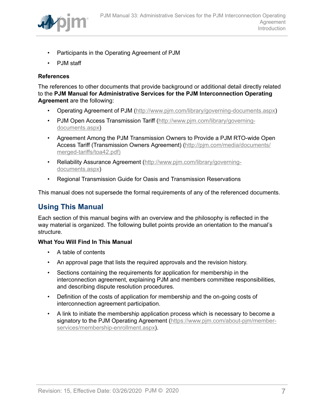

- Participants in the Operating Agreement of PJM
- PJM staff

## **References**

The references to other documents that provide background or additional detail directly related to the **PJM Manual for Administrative Services for the PJM Interconnection Operating Agreement** are the following:

- Operating Agreement of PJM (<http://www.pjm.com/library/governing-documents.aspx>)
- PJM Open Access Transmission Tariff ([http://www.pjm.com/library/governing](http://www.pjm.com/library/governing-documents.aspx)[documents.aspx\)](http://www.pjm.com/library/governing-documents.aspx)
- Agreement Among the PJM Transmission Owners to Provide a PJM RTO-wide Open Access Tariff (Transmission Owners Agreement) ([http://pjm.com/media/documents/](http://www.pjm.com/library/governing-documents.aspx) [merged-tariffs/toa42.pdf\)](http://www.pjm.com/library/governing-documents.aspx)
- Reliability Assurance Agreement [\(http://www.pjm.com/library/governing](http://www.pjm.com/library/governing-documents.aspx)[documents.aspx\)](http://www.pjm.com/library/governing-documents.aspx)
- Regional Transmission Guide for Oasis and Transmission Reservations

This manual does not supersede the formal requirements of any of the referenced documents.

# <span id="page-6-0"></span>**Using This Manual**

Each section of this manual begins with an overview and the philosophy is reflected in the way material is organized. The following bullet points provide an orientation to the manual's structure.

## **What You Will Find In This Manual**

- A table of contents
- An approval page that lists the required approvals and the revision history.
- Sections containing the requirements for application for membership in the interconnection agreement, explaining PJM and members committee responsibilities, and describing dispute resolution procedures.
- Definition of the costs of application for membership and the on-going costs of interconnection agreement participation.
- A link to initiate the membership application process which is necessary to become a signatory to the PJM Operating Agreement ([https://www.pjm.com/about-pjm/member](https://www.pjm.com/about-pjm/member-services/membership-enrollment.aspx)[services/membership-enrollment.aspx\)](https://www.pjm.com/about-pjm/member-services/membership-enrollment.aspx).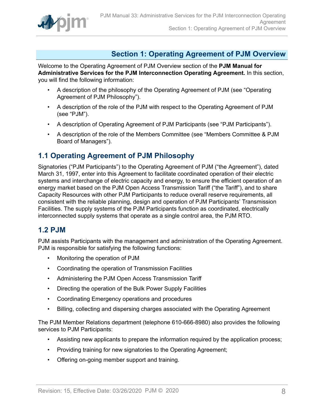

# <span id="page-7-0"></span>**Section 1: Operating Agreement of PJM Overview**

Welcome to the Operating Agreement of PJM Overview section of the **PJM Manual for Administrative Services for the PJM Interconnection Operating Agreement.** In this section, you will find the following information:

- A description of the philosophy of the Operating Agreement of PJM (see "Operating Agreement of PJM Philosophy").
- A description of the role of the PJM with respect to the Operating Agreement of PJM (see "PJM").
- A description of Operating Agreement of PJM Participants (see "PJM Participants").
- A description of the role of the Members Committee (see "Members Committee & PJM Board of Managers").

## <span id="page-7-1"></span>**1.1 Operating Agreement of PJM Philosophy**

Signatories ("PJM Participants") to the Operating Agreement of PJM ("the Agreement"), dated March 31, 1997, enter into this Agreement to facilitate coordinated operation of their electric systems and interchange of electric capacity and energy, to ensure the efficient operation of an energy market based on the PJM Open Access Transmission Tariff ("the Tariff"), and to share Capacity Resources with other PJM Participants to reduce overall reserve requirements, all consistent with the reliable planning, design and operation of PJM Participants' Transmission Facilities. The supply systems of the PJM Participants function as coordinated, electrically interconnected supply systems that operate as a single control area, the PJM RTO.

## <span id="page-7-2"></span>**1.2 PJM**

PJM assists Participants with the management and administration of the Operating Agreement. PJM is responsible for satisfying the following functions:

- Monitoring the operation of PJM
- Coordinating the operation of Transmission Facilities
- Administering the PJM Open Access Transmission Tariff
- Directing the operation of the Bulk Power Supply Facilities
- Coordinating Emergency operations and procedures
- Billing, collecting and dispersing charges associated with the Operating Agreement

The PJM Member Relations department (telephone 610-666-8980) also provides the following services to PJM Participants:

- Assisting new applicants to prepare the information required by the application process;
- Providing training for new signatories to the Operating Agreement;
- Offering on-going member support and training.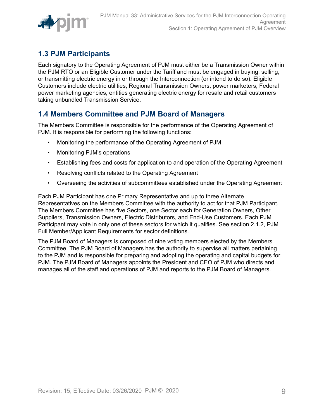

# <span id="page-8-0"></span>**1.3 PJM Participants**

Each signatory to the Operating Agreement of PJM must either be a Transmission Owner within the PJM RTO or an Eligible Customer under the Tariff and must be engaged in buying, selling, or transmitting electric energy in or through the Interconnection (or intend to do so). Eligible Customers include electric utilities, Regional Transmission Owners, power marketers, Federal power marketing agencies, entities generating electric energy for resale and retail customers taking unbundled Transmission Service.

# <span id="page-8-1"></span>**1.4 Members Committee and PJM Board of Managers**

The Members Committee is responsible for the performance of the Operating Agreement of PJM. It is responsible for performing the following functions:

- Monitoring the performance of the Operating Agreement of PJM
- Monitoring PJM's operations
- Establishing fees and costs for application to and operation of the Operating Agreement
- Resolving conflicts related to the Operating Agreement
- Overseeing the activities of subcommittees established under the Operating Agreement

Each PJM Participant has one Primary Representative and up to three Alternate Representatives on the Members Committee with the authority to act for that PJM Participant. The Members Committee has five Sectors, one Sector each for Generation Owners, Other Suppliers, Transmission Owners, Electric Distributors, and End-Use Customers. Each PJM Participant may vote in only one of these sectors for which it qualifies. See section 2.1.2, PJM Full Member/Applicant Requirements for sector definitions.

The PJM Board of Managers is composed of nine voting members elected by the Members Committee. The PJM Board of Managers has the authority to supervise all matters pertaining to the PJM and is responsible for preparing and adopting the operating and capital budgets for PJM. The PJM Board of Managers appoints the President and CEO of PJM who directs and manages all of the staff and operations of PJM and reports to the PJM Board of Managers.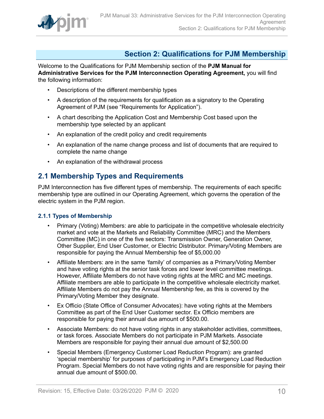

# <span id="page-9-0"></span>**Section 2: Qualifications for PJM Membership**

Welcome to the Qualifications for PJM Membership section of the **PJM Manual for Administrative Services for the PJM Interconnection Operating Agreement,** you will find the following information:

- Descriptions of the different membership types
- A description of the requirements for qualification as a signatory to the Operating Agreement of PJM (see "Requirements for Application").
- A chart describing the Application Cost and Membership Cost based upon the membership type selected by an applicant
- An explanation of the credit policy and credit requirements
- An explanation of the name change process and list of documents that are required to complete the name change
- An explanation of the withdrawal process

## <span id="page-9-1"></span>**2.1 Membership Types and Requirements**

PJM Interconnection has five different types of membership. The requirements of each specific membership type are outlined in our Operating Agreement, which governs the operation of the electric system in the PJM region.

## <span id="page-9-2"></span>**2.1.1 Types of Membership**

- Primary (Voting) Members: are able to participate in the competitive wholesale electricity market and vote at the Markets and Reliability Committee (MRC) and the Members Committee (MC) in one of the five sectors: Transmission Owner, Generation Owner, Other Supplier, End User Customer, or Electric Distributor. Primary/Voting Members are responsible for paying the Annual Membership fee of \$5,000.00
- Affiliate Members: are in the same 'family' of companies as a Primary/Voting Member and have voting rights at the senior task forces and lower level committee meetings. However, Affiliate Members do not have voting rights at the MRC and MC meetings. Affiliate members are able to participate in the competitive wholesale electricity market. Affiliate Members do not pay the Annual Membership fee, as this is covered by the Primary/Voting Member they designate.
- Ex Officio (State Office of Consumer Advocates): have voting rights at the Members Committee as part of the End User Customer sector. Ex Officio members are responsible for paying their annual due amount of \$500.00.
- Associate Members: do not have voting rights in any stakeholder activities, committees, or task forces. Associate Members do not participate in PJM Markets. Associate Members are responsible for paying their annual due amount of \$2,500.00
- Special Members (Emergency Customer Load Reduction Program): are granted 'special membership' for purposes of participating in PJM's Emergency Load Reduction Program. Special Members do not have voting rights and are responsible for paying their annual due amount of \$500.00.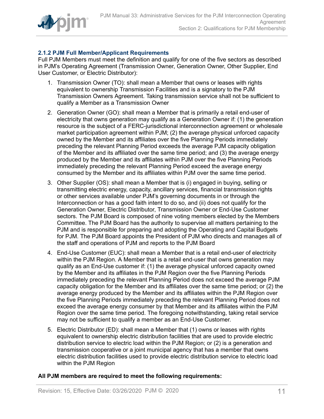

## <span id="page-10-0"></span>**2.1.2 PJM Full Member/Applicant Requirements**

Full PJM Members must meet the definition and qualify for one of the five sectors as described in PJM's Operating Agreement (Transmission Owner, Generation Owner, Other Supplier, End User Customer, or Electric Distributor):

- 1. Transmission Owner (TO): shall mean a Member that owns or leases with rights equivalent to ownership Transmission Facilities and is a signatory to the PJM Transmission Owners Agreement. Taking transmission service shall not be sufficient to qualify a Member as a Transmission Owner
- 2. Generation Owner (GO): shall mean a Member that is primarily a retail end-user of electricity that owns generation may qualify as a Generation Owner if: (1) the generation resource is the subject of a FERC-jurisdictional interconnection agreement or wholesale market participation agreement within PJM; (2) the average physical unforced capacity owned by the Member and its affiliates over the five Planning Periods immediately preceding the relevant Planning Period exceeds the average PJM capacity obligation of the Member and its affiliated over the same time period; and (3) the average energy produced by the Member and its affiliates within PJM over the five Planning Periods immediately preceding the relevant Planning Period exceed the average energy consumed by the Member and its affiliates within PJM over the same time period.
- 3. Other Supplier (OS): shall mean a Member that is (i) engaged in buying, selling or transmitting electric energy, capacity, ancillary services, financial transmission rights or other services available under PJM's governing documents in or through the Interconnection or has a good faith intent to do so, and (ii) does not qualify for the Generation Owner, Electric Distributor, Transmission Owner or End-Use Customer sectors. The PJM Board is composed of nine voting members elected by the Members Committee. The PJM Board has the authority to supervise all matters pertaining to the PJM and is responsible for preparing and adopting the Operating and Capital Budgets for PJM. The PJM Board appoints the President of PJM who directs and manages all of the staff and operations of PJM and reports to the PJM Board
- 4. End-Use Customer (EUC): shall mean a Member that is a retail end-user of electricity within the PJM Region. A Member that is a retail end-user that owns generation may qualify as an End-Use customer if: (1) the average physical unforced capacity owned by the Member and its affiliates in the PJM Region over the five Planning Periods immediately preceding the relevant Planning Period does not exceed the average PJM capacity obligation for the Member and its affiliates over the same time period; or (2) the average energy produced by the Member and its affiliates within the PJM Region over the five Planning Periods immediately preceding the relevant Planning Period does not exceed the average energy consumer by that Member and its affiliates within the PJM Region over the same time period. The foregoing notwithstanding, taking retail service may not be sufficient to qualify a member as an End-Use Customer.
- 5. Electric Distributor (ED): shall mean a Member that (1) owns or leases with rights equivalent to ownership electric distribution facilities that are used to provide electric distribution service to electric load within the PJM Region; or (2) is a generation and transmission cooperative or a joint municipal agency that has a member that owns electric distribution facilities used to provide electric distribution service to electric load within the PJM Region

## **All PJM members are required to meet the following requirements:**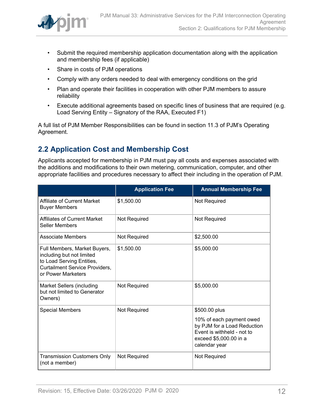

- Submit the required membership application documentation along with the application and membership fees (if applicable)
- Share in costs of PJM operations
- Comply with any orders needed to deal with emergency conditions on the grid
- Plan and operate their facilities in cooperation with other PJM members to assure reliability
- Execute additional agreements based on specific lines of business that are required (e.g. Load Serving Entity – Signatory of the RAA, Executed F1)

A full list of PJM Member Responsibilities can be found in section 11.3 of PJM's Operating Agreement.

# <span id="page-11-0"></span>**2.2 Application Cost and Membership Cost**

Applicants accepted for membership in PJM must pay all costs and expenses associated with the additions and modifications to their own metering, communication, computer, and other appropriate facilities and procedures necessary to affect their including in the operation of PJM.

|                                                                                                                                                       | <b>Application Fee</b> | <b>Annual Membership Fee</b>                                                                                                     |
|-------------------------------------------------------------------------------------------------------------------------------------------------------|------------------------|----------------------------------------------------------------------------------------------------------------------------------|
| Affiliate of Current Market<br><b>Buyer Members</b>                                                                                                   | \$1,500.00             | Not Required                                                                                                                     |
| Affiliates of Current Market<br><b>Seller Members</b>                                                                                                 | <b>Not Required</b>    | Not Required                                                                                                                     |
| <b>Associate Members</b>                                                                                                                              | Not Required           | \$2,500.00                                                                                                                       |
| Full Members, Market Buyers,<br>including but not limited<br>to Load Serving Entities,<br><b>Curtailment Service Providers,</b><br>or Power Marketers | \$1,500.00             | \$5,000.00                                                                                                                       |
| <b>Market Sellers (including</b><br>but not limited to Generator<br>Owners)                                                                           | <b>Not Required</b>    | \$5,000.00                                                                                                                       |
| <b>Special Members</b>                                                                                                                                | Not Required           | \$500.00 plus                                                                                                                    |
|                                                                                                                                                       |                        | 10% of each payment owed<br>by PJM for a Load Reduction<br>Event is withheld - not to<br>exceed \$5,000.00 in a<br>calendar year |
| <b>Transmission Customers Only</b><br>(not a member)                                                                                                  | Not Required           | Not Required                                                                                                                     |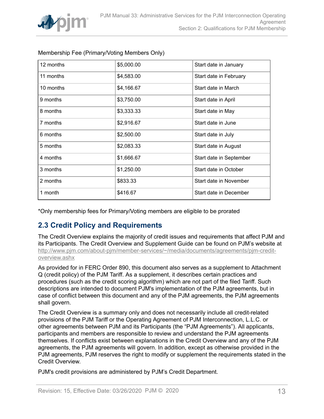

| 12 months | \$5,000.00 | Start date in January   |
|-----------|------------|-------------------------|
| 11 months | \$4,583.00 | Start date in February  |
| 10 months | \$4,166.67 | Start date in March     |
| 9 months  | \$3,750.00 | Start date in April     |
| 8 months  | \$3,333.33 | Start date in May       |
| 7 months  | \$2,916.67 | Start date in June      |
| 6 months  | \$2,500.00 | Start date in July      |
| 5 months  | \$2,083.33 | Start date in August    |
| 4 months  | \$1,666.67 | Start date in September |
| 3 months  | \$1,250.00 | Start date in October   |
| 2 months  | \$833.33   | Start date in November  |
| 1 month   | \$416.67   | Start date in December  |

## Membership Fee (Primary/Voting Members Only)

\*Only membership fees for Primary/Voting members are eligible to be prorated

## <span id="page-12-0"></span>**2.3 Credit Policy and Requirements**

The Credit Overview explains the majority of credit issues and requirements that affect PJM and its Participants. The Credit Overview and Supplement Guide can be found on PJM's website at [http://www.pjm.com/about-pjm/member-services/~/media/documents/agreements/pjm-credit](http://www.pjm.com/about-pjm/member-services/~/media/documents/agreements/pjm-credit-overview.ashx)[overview.ashx](http://www.pjm.com/about-pjm/member-services/~/media/documents/agreements/pjm-credit-overview.ashx)

As provided for in FERC Order 890, this document also serves as a supplement to Attachment Q (credit policy) of the PJM Tariff. As a supplement, it describes certain practices and procedures (such as the credit scoring algorithm) which are not part of the filed Tariff. Such descriptions are intended to document PJM's implementation of the PJM agreements, but in case of conflict between this document and any of the PJM agreements, the PJM agreements shall govern.

The Credit Overview is a summary only and does not necessarily include all credit-related provisions of the PJM Tariff or the Operating Agreement of PJM Interconnection, L.L.C. or other agreements between PJM and its Participants (the "PJM Agreements"). All applicants, participants and members are responsible to review and understand the PJM agreements themselves. If conflicts exist between explanations in the Credit Overview and any of the PJM agreements, the PJM agreements will govern. In addition, except as otherwise provided in the PJM agreements, PJM reserves the right to modify or supplement the requirements stated in the Credit Overview.

PJM's credit provisions are administered by PJM's Credit Department.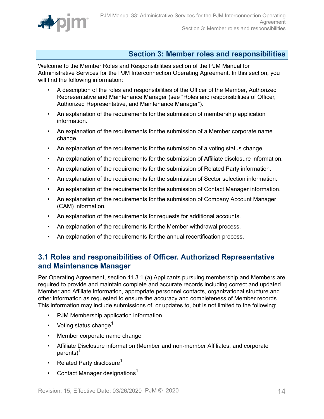

# <span id="page-13-0"></span>**Section 3: Member roles and responsibilities**

Welcome to the Member Roles and Responsibilities section of the PJM Manual for Administrative Services for the PJM Interconnection Operating Agreement. In this section, you will find the following information:

- A description of the roles and responsibilities of the Officer of the Member, Authorized Representative and Maintenance Manager (see "Roles and responsibilities of Officer, Authorized Representative, and Maintenance Manager").
- An explanation of the requirements for the submission of membership application information.
- An explanation of the requirements for the submission of a Member corporate name change.
- An explanation of the requirements for the submission of a voting status change.
- An explanation of the requirements for the submission of Affiliate disclosure information.
- An explanation of the requirements for the submission of Related Party information.
- An explanation of the requirements for the submission of Sector selection information.
- An explanation of the requirements for the submission of Contact Manager information.
- An explanation of the requirements for the submission of Company Account Manager (CAM) information.
- An explanation of the requirements for requests for additional accounts.
- An explanation of the requirements for the Member withdrawal process.
- An explanation of the requirements for the annual recertification process.

# <span id="page-13-1"></span>**3.1 Roles and responsibilities of Officer. Authorized Representative and Maintenance Manager**

Per Operating Agreement, section 11.3.1 (a) Applicants pursuing membership and Members are required to provide and maintain complete and accurate records including correct and updated Member and Affiliate information, appropriate personnel contacts, organizational structure and other information as requested to ensure the accuracy and completeness of Member records. This information may include submissions of, or updates to, but is not limited to the following:

- PJM Membership application information
- Voting status change<sup>1</sup>
- Member corporate name change
- Affiliate Disclosure information (Member and non-member Affiliates, and corporate parents)<sup>1</sup>
- Related Party disclosure<sup>1</sup>
- Contact Manager designations<sup>1</sup>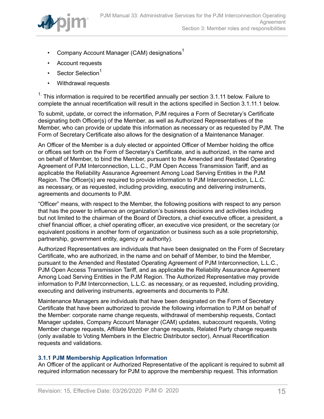

- Company Account Manager (CAM) designations<sup>1</sup>
- Account requests
- Sector Selection<sup>1</sup>
- Withdrawal requests

 $1.$  This information is required to be recertified annually per section 3.1.11 below. Failure to complete the annual recertification will result in the actions specified in Section 3.1.11.1 below.

To submit, update, or correct the information, PJM requires a Form of Secretary's Certificate designating both Officer(s) of the Member, as well as Authorized Representatives of the Member, who can provide or update this information as necessary or as requested by PJM. The Form of Secretary Certificate also allows for the designation of a Maintenance Manager.

An Officer of the Member is a duly elected or appointed Officer of Member holding the office or offices set forth on the Form of Secretary's Certificate, and is authorized, in the name and on behalf of Member, to bind the Member, pursuant to the Amended and Restated Operating Agreement of PJM Interconnection, L.L.C., PJM Open Access Transmission Tariff, and as applicable the Reliability Assurance Agreement Among Load Serving Entities in the PJM Region. The Officer(s) are required to provide information to PJM Interconnection, L.L.C. as necessary, or as requested, including providing, executing and delivering instruments, agreements and documents to PJM.

"Officer" means, with respect to the Member, the following positions with respect to any person that has the power to influence an organization's business decisions and activities including but not limited to the chairman of the Board of Directors, a chief executive officer, a president, a chief financial officer, a chief operating officer, an executive vice president, or the secretary (or equivalent positions in another form of organization or business such as a sole proprietorship, partnership, government entity, agency or authority).

Authorized Representatives are individuals that have been designated on the Form of Secretary Certificate, who are authorized, in the name and on behalf of Member, to bind the Member, pursuant to the Amended and Restated Operating Agreement of PJM Interconnection, L.L.C., PJM Open Access Transmission Tariff, and as applicable the Reliability Assurance Agreement Among Load Serving Entities in the PJM Region. The Authorized Representative may provide information to PJM Interconnection, L.L.C. as necessary, or as requested, including providing, executing and delivering instruments, agreements and documents to PJM.

Maintenance Managers are individuals that have been designated on the Form of Secretary Certificate that have been authorized to provide the following information to PJM on behalf of the Member: corporate name change requests, withdrawal of membership requests, Contact Manager updates, Company Account Manager (CAM) updates, subaccount requests, Voting Member change requests, Affiliate Member change requests, Related Party change requests (only available to Voting Members in the Electric Distributor sector), Annual Recertification requests and validations.

## <span id="page-14-0"></span>**3.1.1 PJM Membership Application Information**

An Officer of the applicant or Authorized Representative of the applicant is required to submit all required information necessary for PJM to approve the membership request. This information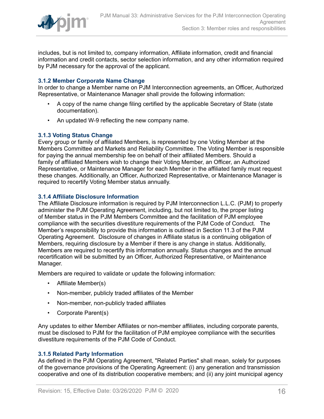

includes, but is not limited to, company information, Affiliate information, credit and financial information and credit contacts, sector selection information, and any other information required by PJM necessary for the approval of the applicant.

## <span id="page-15-0"></span>**3.1.2 Member Corporate Name Change**

In order to change a Member name on PJM Interconnection agreements, an Officer, Authorized Representative, or Maintenance Manager shall provide the following information:

- A copy of the name change filing certified by the applicable Secretary of State (state documentation).
- An updated W-9 reflecting the new company name.

## <span id="page-15-1"></span>**3.1.3 Voting Status Change**

Every group or family of affiliated Members, is represented by one Voting Member at the Members Committee and Markets and Reliability Committee. The Voting Member is responsible for paying the annual membership fee on behalf of their affiliated Members. Should a family of affiliated Members wish to change their Voting Member, an Officer, an Authorized Representative, or Maintenance Manager for each Member in the affiliated family must request these changes. Additionally, an Officer, Authorized Representative, or Maintenance Manager is required to recertify Voting Member status annually.

### <span id="page-15-2"></span>**3.1.4 Affiliate Disclosure Information**

The Affiliate Disclosure information is required by PJM Interconnection L.L.C. (PJM) to properly administer the PJM Operating Agreement, including, but not limited to, the proper listing of Member status in the PJM Members Committee and the facilitation of PJM employee compliance with the securities divestiture requirements of the PJM Code of Conduct. The Member's responsibility to provide this information is outlined in Section 11.3 of the PJM Operating Agreement. Disclosure of changes in Affiliate status is a continuing obligation of Members, requiring disclosure by a Member if there is any change in status. Additionally, Members are required to recertify this information annually. Status changes and the annual recertification will be submitted by an Officer, Authorized Representative, or Maintenance Manager.

Members are required to validate or update the following information:

- Affiliate Member(s)
- Non-member, publicly traded affiliates of the Member
- Non-member, non-publicly traded affiliates
- Corporate Parent(s)

Any updates to either Member Affiliates or non-member affiliates, including corporate parents, must be disclosed to PJM for the facilitation of PJM employee compliance with the securities divestiture requirements of the PJM Code of Conduct.

## <span id="page-15-3"></span>**3.1.5 Related Party Information**

As defined in the PJM Operating Agreement, "Related Parties" shall mean, solely for purposes of the governance provisions of the Operating Agreement: (i) any generation and transmission cooperative and one of its distribution cooperative members; and (ii) any joint municipal agency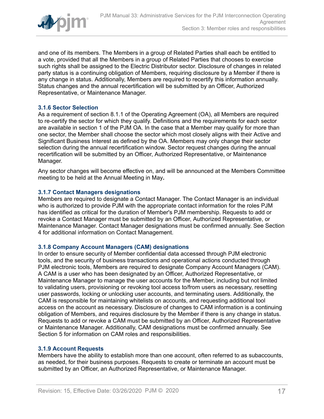

and one of its members. The Members in a group of Related Parties shall each be entitled to a vote, provided that all the Members in a group of Related Parties that chooses to exercise such rights shall be assigned to the Electric Distributor sector. Disclosure of changes in related party status is a continuing obligation of Members, requiring disclosure by a Member if there is any change in status. Additionally, Members are required to recertify this information annually. Status changes and the annual recertification will be submitted by an Officer, Authorized Representative, or Maintenance Manager.

## <span id="page-16-0"></span>**3.1.6 Sector Selection**

As a requirement of section 8.1.1 of the Operating Agreement (OA), all Members are required to re-certify the sector for which they qualify. Definitions and the requirements for each sector are available in section 1 of the PJM OA. In the case that a Member may qualify for more than one sector, the Member shall choose the sector which most closely aligns with their Active and Significant Business Interest as defined by the OA. Members may only change their sector selection during the annual recertification window. Sector request changes during the annual recertification will be submitted by an Officer, Authorized Representative, or Maintenance Manager.

Any sector changes will become effective on, and will be announced at the Members Committee meeting to be held at the Annual Meeting in May**.**

### <span id="page-16-1"></span>**3.1.7 Contact Managers designations**

Members are required to designate a Contact Manager. The Contact Manager is an individual who is authorized to provide PJM with the appropriate contact information for the roles PJM has identified as critical for the duration of Member's PJM membership. Requests to add or revoke a Contact Manager must be submitted by an Officer, Authorized Representative, or Maintenance Manager. Contact Manager designations must be confirmed annually. See Section 4 for additional information on Contact Management.

### <span id="page-16-2"></span>**3.1.8 Company Account Managers (CAM) designations**

In order to ensure security of Member confidential data accessed through PJM electronic tools, and the security of business transactions and operational actions conducted through PJM electronic tools, Members are required to designate Company Account Managers (CAM). A CAM is a user who has been designated by an Officer, Authorized Representative, or Maintenance Manager to manage the user accounts for the Member, including but not limited to validating users, provisioning or revoking tool access to/from users as necessary, resetting user passwords, locking or unlocking user accounts, and terminating users. Additionally, the CAM is responsible for maintaining whitelists on accounts, and requesting additional tool access on the account as necessary. Disclosure of changes to CAM information is a continuing obligation of Members, and requires disclosure by the Member if there is any change in status. Requests to add or revoke a CAM must be submitted by an Officer, Authorized Representative or Maintenance Manager. Additionally, CAM designations must be confirmed annually. See Section 5 for information on CAM roles and responsibilities.

### <span id="page-16-3"></span>**3.1.9 Account Requests**

Members have the ability to establish more than one account, often referred to as subaccounts, as needed, for their business purposes. Requests to create or terminate an account must be submitted by an Officer, an Authorized Representative, or Maintenance Manager.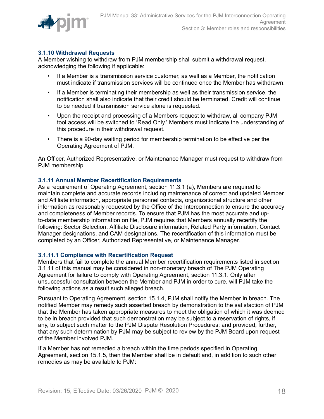

## <span id="page-17-0"></span>**3.1.10 Withdrawal Requests**

A Member wishing to withdraw from PJM membership shall submit a withdrawal request, acknowledging the following if applicable:

- If a Member is a transmission service customer, as well as a Member, the notification must indicate if transmission services will be continued once the Member has withdrawn.
- If a Member is terminating their membership as well as their transmission service, the notification shall also indicate that their credit should be terminated. Credit will continue to be needed if transmission service alone is requested.
- Upon the receipt and processing of a Members request to withdraw, all company PJM tool access will be switched to 'Read Only.' Members must indicate the understanding of this procedure in their withdrawal request.
- There is a 90-day waiting period for membership termination to be effective per the Operating Agreement of PJM.

An Officer, Authorized Representative, or Maintenance Manager must request to withdraw from PJM membership

## <span id="page-17-1"></span>**3.1.11 Annual Member Recertification Requirements**

As a requirement of Operating Agreement, section 11.3.1 (a), Members are required to maintain complete and accurate records including maintenance of correct and updated Member and Affiliate information, appropriate personnel contacts, organizational structure and other information as reasonably requested by the Office of the Interconnection to ensure the accuracy and completeness of Member records. To ensure that PJM has the most accurate and upto-date membership information on file, PJM requires that Members annually recertify the following: Sector Selection, Affiliate Disclosure information, Related Party information, Contact Manager designations, and CAM designations. The recertification of this information must be completed by an Officer, Authorized Representative, or Maintenance Manager.

## <span id="page-17-2"></span>**3.1.11.1 Compliance with Recertification Request**

Members that fail to complete the annual Member recertification requirements listed in section 3.1.11 of this manual may be considered in non-monetary breach of The PJM Operating Agreement for failure to comply with Operating Agreement, section 11.3.1. Only after unsuccessful consultation between the Member and PJM in order to cure, will PJM take the following actions as a result such alleged breach.

Pursuant to Operating Agreement, section 15.1.4, PJM shall notify the Member in breach. The notified Member may remedy such asserted breach by demonstration to the satisfaction of PJM that the Member has taken appropriate measures to meet the obligation of which it was deemed to be in breach provided that such demonstration may be subject to a reservation of rights, if any, to subject such matter to the PJM Dispute Resolution Procedures; and provided, further, that any such determination by PJM may be subject to review by the PJM Board upon request of the Member involved PJM.

If a Member has not remedied a breach within the time periods specified in Operating Agreement, section 15.1.5, then the Member shall be in default and, in addition to such other remedies as may be available to PJM: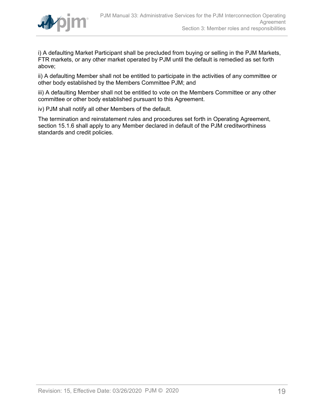

i) A defaulting Market Participant shall be precluded from buying or selling in the PJM Markets, FTR markets, or any other market operated by PJM until the default is remedied as set forth above;

ii) A defaulting Member shall not be entitled to participate in the activities of any committee or other body established by the Members Committee PJM; and

iii) A defaulting Member shall not be entitled to vote on the Members Committee or any other committee or other body established pursuant to this Agreement.

iv) PJM shall notify all other Members of the default.

The termination and reinstatement rules and procedures set forth in Operating Agreement, section 15.1.6 shall apply to any Member declared in default of the PJM creditworthiness standards and credit policies.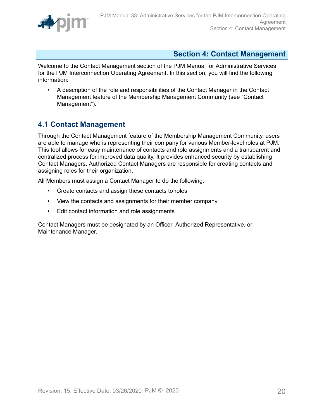

## <span id="page-19-0"></span>**Section 4: Contact Management**

Welcome to the Contact Management section of the PJM Manual for Administrative Services for the PJM Interconnection Operating Agreement. In this section, you will find the following information:

• A description of the role and responsibilities of the Contact Manager in the Contact Management feature of the Membership Management Community (see "Contact Management").

# <span id="page-19-1"></span>**4.1 Contact Management**

Through the Contact Management feature of the Membership Management Community, users are able to manage who is representing their company for various Member-level roles at PJM. This tool allows for easy maintenance of contacts and role assignments and a transparent and centralized process for improved data quality. It provides enhanced security by establishing Contact Managers. Authorized Contact Managers are responsible for creating contacts and assigning roles for their organization.

All Members must assign a Contact Manager to do the following:

- Create contacts and assign these contacts to roles
- View the contacts and assignments for their member company
- Edit contact information and role assignments

Contact Managers must be designated by an Officer, Authorized Representative, or Maintenance Manager.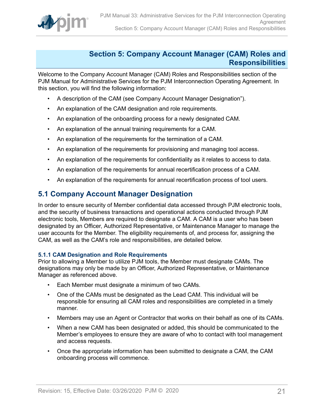

## <span id="page-20-0"></span>**Section 5: Company Account Manager (CAM) Roles and Responsibilities**

Welcome to the Company Account Manager (CAM) Roles and Responsibilities section of the PJM Manual for Administrative Services for the PJM Interconnection Operating Agreement. In this section, you will find the following information:

- A description of the CAM (see Company Account Manager Designation").
- An explanation of the CAM designation and role requirements.
- An explanation of the onboarding process for a newly designated CAM.
- An explanation of the annual training requirements for a CAM.
- An explanation of the requirements for the termination of a CAM.
- An explanation of the requirements for provisioning and managing tool access.
- An explanation of the requirements for confidentiality as it relates to access to data.
- An explanation of the requirements for annual recertification process of a CAM.
- An explanation of the requirements for annual recertification process of tool users.

## <span id="page-20-1"></span>**5.1 Company Account Manager Designation**

In order to ensure security of Member confidential data accessed through PJM electronic tools, and the security of business transactions and operational actions conducted through PJM electronic tools, Members are required to designate a CAM. A CAM is a user who has been designated by an Officer, Authorized Representative, or Maintenance Manager to manage the user accounts for the Member. The eligibility requirements of, and process for, assigning the CAM, as well as the CAM's role and responsibilities, are detailed below.

## <span id="page-20-2"></span>**5.1.1 CAM Designation and Role Requirements**

Prior to allowing a Member to utilize PJM tools, the Member must designate CAMs. The designations may only be made by an Officer, Authorized Representative, or Maintenance Manager as referenced above.

- Each Member must designate a minimum of two CAMs.
- One of the CAMs must be designated as the Lead CAM. This individual will be responsible for ensuring all CAM roles and responsibilities are completed in a timely manner.
- Members may use an Agent or Contractor that works on their behalf as one of its CAMs.
- When a new CAM has been designated or added, this should be communicated to the Member's employees to ensure they are aware of who to contact with tool management and access requests.
- Once the appropriate information has been submitted to designate a CAM, the CAM onboarding process will commence.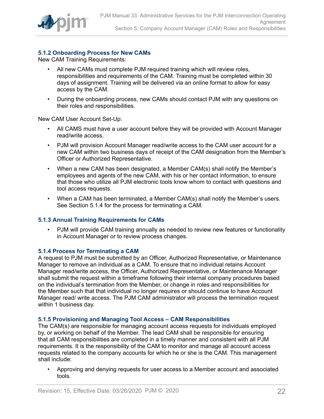

## <span id="page-21-0"></span>**5.1.2 Onboarding Process for New CAMs**

New CAM Training Requirements:

- All new CAMs must complete PJM required training which will review roles, responsibilities and requirements of the CAM. Training must be completed within 30 days of assignment. Training will be delivered via an online format to allow for easy access by the CAM.
- During the onboarding process, new CAMs should contact PJM with any questions on their roles and responsibilities.

New CAM User Account Set-Up:

- All CAMS must have a user account before they will be provided with Account Manager read/write access.
- PJM will provision Account Manager read/write access to the CAM user account for a new CAM within two business days of receipt of the CAM designation from the Member's Officer or Authorized Representative.
- When a new CAM has been designated, a Member CAM(s) shall notify the Member's employees and agents of the new CAM, with his or her contact information, to ensure that those who utilize all PJM electronic tools know whom to contact with questions and tool access requests.
- When a CAM has been terminated, a Member CAM(s) shall notify the Member's users. See Section 5.1.4 for the process for terminating a CAM.

## <span id="page-21-1"></span>**5.1.3 Annual Training Requirements for CAMs**

• PJM will provide CAM training annually as needed to review new features or functionality in Account Manager or to review process changes.

## <span id="page-21-2"></span>**5.1.4 Process for Terminating a CAM**

A request to PJM must be submitted by an Officer, Authorized Representative, or Maintenance Manager to remove an individual as a CAM. To ensure that no individual retains Account Manager read/write access, the Officer, Authorized Representative, or Maintenance Manager shall submit the request within a timeframe following their internal company procedures based on the individual's termination from the Member, or change in roles and responsibilities for the Member such that that individual no longer requires or should continue to have Account Manager read/ write access. The PJM CAM administrator will process the termination request within 1 business day.

### <span id="page-21-3"></span>**5.1.5 Provisioning and Managing Tool Access – CAM Responsibilities**

The CAM(s) are responsible for managing account access requests for individuals employed by, or working on behalf of the Member. The lead CAM shall be responsible for ensuring that all CAM responsibilities are completed in a timely manner and consistent with all PJM requirements. It is the responsibility of the CAM to monitor and manage all account access requests related to the company accounts for which he or she is the CAM. This management shall include:

• Approving and denying requests for user access to a Member account and associated tools.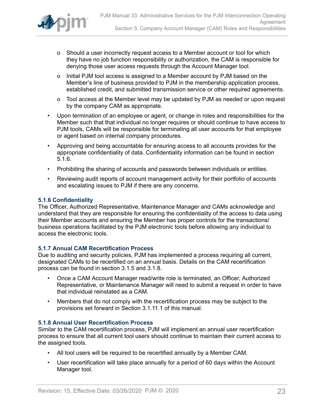

- o Should a user incorrectly request access to a Member account or tool for which they have no job function responsibility or authorization, the CAM is responsible for denying those user access requests through the Account Manager tool.
- o Initial PJM tool access is assigned to a Member account by PJM based on the Member's line of business provided to PJM in the membership application process, established credit, and submitted transmission service or other required agreements.
- o Tool access at the Member level may be updated by PJM as needed or upon request by the company CAM as appropriate.
- Upon termination of an employee or agent, or change in roles and responsibilities for the Member such that that individual no longer requires or should continue to have access to PJM tools, CAMs will be responsible for terminating all user accounts for that employee or agent based on internal company procedures.
- Approving and being accountable for ensuring access to all accounts provides for the appropriate confidentiality of data. Confidentiality information can be found in section 5.1.6.
- Prohibiting the sharing of accounts and passwords between individuals or entities.
- Reviewing audit reports of account management activity for their portfolio of accounts and escalating issues to PJM if there are any concerns.

### <span id="page-22-0"></span>**5.1.6 Confidentiality**

The Officer, Authorized Representative, Maintenance Manager and CAMs acknowledge and understand that they are responsible for ensuring the confidentiality of the access to data using their Member accounts and ensuring the Member has proper controls for the transactions/ business operations facilitated by the PJM electronic tools before allowing any individual to access the electronic tools.

## <span id="page-22-1"></span>**5.1.7 Annual CAM Recertification Process**

Due to auditing and security policies, PJM has implemented a process requiring all current, designated CAMs to be recertified on an annual basis. Details on the CAM recertification process can be found in section 3.1.5 and 3.1.8.

- Once a CAM Account Manager read/write role is terminated, an Officer, Authorized Representative, or Maintenance Manager will need to submit a request in order to have that individual reinstated as a CAM.
- Members that do not comply with the recertification process may be subject to the provisions set forward in Section 3.1.11.1 of this manual.

### <span id="page-22-2"></span>**5.1.8 Annual User Recertification Process**

Similar to the CAM recertification process, PJM will implement an annual user recertification process to ensure that all current tool users should continue to maintain their current access to the assigned tools.

- All tool users will be required to be recertified annually by a Member CAM.
- User recertification will take place annually for a period of 60 days within the Account Manager tool.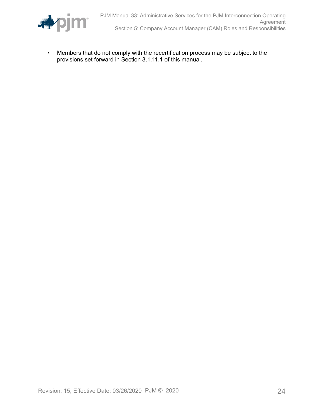

• Members that do not comply with the recertification process may be subject to the provisions set forward in Section 3.1.11.1 of this manual.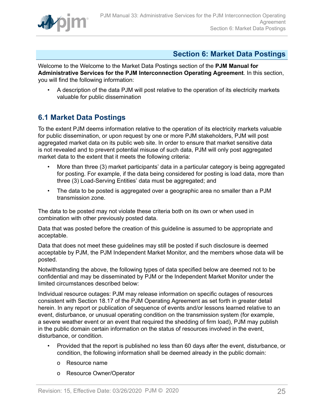

# <span id="page-24-0"></span>**Section 6: Market Data Postings**

Welcome to the Welcome to the Market Data Postings section of the **PJM Manual for Administrative Services for the PJM Interconnection Operating Agreement**. In this section, you will find the following information:

• A description of the data PJM will post relative to the operation of its electricity markets valuable for public dissemination

# <span id="page-24-1"></span>**6.1 Market Data Postings**

To the extent PJM deems information relative to the operation of its electricity markets valuable for public dissemination, or upon request by one or more PJM stakeholders, PJM will post aggregated market data on its public web site. In order to ensure that market sensitive data is not revealed and to prevent potential misuse of such data, PJM will only post aggregated market data to the extent that it meets the following criteria:

- More than three (3) market participants' data in a particular category is being aggregated for posting. For example, if the data being considered for posting is load data, more than three (3) Load-Serving Entities' data must be aggregated; and
- The data to be posted is aggregated over a geographic area no smaller than a PJM transmission zone.

The data to be posted may not violate these criteria both on its own or when used in combination with other previously posted data.

Data that was posted before the creation of this guideline is assumed to be appropriate and acceptable.

Data that does not meet these guidelines may still be posted if such disclosure is deemed acceptable by PJM, the PJM Independent Market Monitor, and the members whose data will be posted.

Notwithstanding the above, the following types of data specified below are deemed not to be confidential and may be disseminated by PJM or the Independent Market Monitor under the limited circumstances described below:

Individual resource outages: PJM may release information on specific outages of resources consistent with Section 18.17 of the PJM Operating Agreement as set forth in greater detail herein. In any report or publication of sequence of events and/or lessons learned relative to an event, disturbance, or unusual operating condition on the transmission system (for example, a severe weather event or an event that required the shedding of firm load), PJM may publish in the public domain certain information on the status of resources involved in the event, disturbance, or condition.

- Provided that the report is published no less than 60 days after the event, disturbance, or condition, the following information shall be deemed already in the public domain:
	- o Resource name
	- o Resource Owner/Operator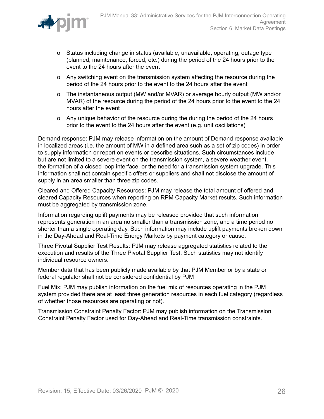

- o Status including change in status (available, unavailable, operating, outage type (planned, maintenance, forced, etc.) during the period of the 24 hours prior to the event to the 24 hours after the event
- o Any switching event on the transmission system affecting the resource during the period of the 24 hours prior to the event to the 24 hours after the event
- o The instantaneous output (MW and/or MVAR) or average hourly output (MW and/or MVAR) of the resource during the period of the 24 hours prior to the event to the 24 hours after the event
- o Any unique behavior of the resource during the during the period of the 24 hours prior to the event to the 24 hours after the event (e.g. unit oscillations)

Demand response: PJM may release information on the amount of Demand response available in localized areas (i.e. the amount of MW in a defined area such as a set of zip codes) in order to supply information or report on events or describe situations. Such circumstances include but are not limited to a severe event on the transmission system, a severe weather event, the formation of a closed loop interface, or the need for a transmission system upgrade. This information shall not contain specific offers or suppliers and shall not disclose the amount of supply in an area smaller than three zip codes.

Cleared and Offered Capacity Resources: PJM may release the total amount of offered and cleared Capacity Resources when reporting on RPM Capacity Market results. Such information must be aggregated by transmission zone.

Information regarding uplift payments may be released provided that such information represents generation in an area no smaller than a transmission zone, and a time period no shorter than a single operating day. Such information may include uplift payments broken down in the Day-Ahead and Real-Time Energy Markets by payment category or cause.

Three Pivotal Supplier Test Results: PJM may release aggregated statistics related to the execution and results of the Three Pivotal Supplier Test. Such statistics may not identify individual resource owners.

Member data that has been publicly made available by that PJM Member or by a state or federal regulator shall not be considered confidential by PJM

Fuel Mix: PJM may publish information on the fuel mix of resources operating in the PJM system provided there are at least three generation resources in each fuel category (regardless of whether those resources are operating or not).

Transmission Constraint Penalty Factor: PJM may publish information on the Transmission Constraint Penalty Factor used for Day-Ahead and Real-Time transmission constraints.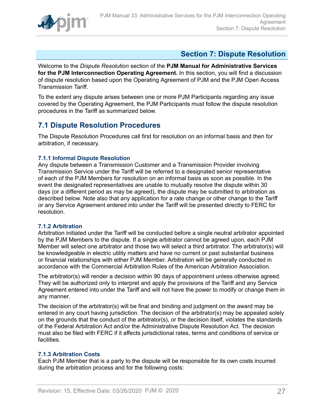

# <span id="page-26-0"></span>**Section 7: Dispute Resolution**

Welcome to the *Dispute Resolution* section of the **PJM Manual for Administrative Services for the PJM Interconnection Operating Agreement.** In this section, you will find a discussion of dispute resolution based upon the Operating Agreement of PJM and the PJM Open Access Transmission Tariff.

To the extent any dispute arises between one or more PJM Participants regarding any issue covered by the Operating Agreement, the PJM Participants must follow the dispute resolution procedures in the Tariff as summarized below.

# <span id="page-26-1"></span>**7.1 Dispute Resolution Procedures**

The Dispute Resolution Procedures call first for resolution on an informal basis and then for arbitration, if necessary.

## <span id="page-26-2"></span>**7.1.1 Informal Dispute Resolution**

Any dispute between a Transmission Customer and a Transmission Provider involving Transmission Service under the Tariff will be referred to a designated senior representative of each of the PJM Members for resolution on an informal basis as soon as possible. In the event the designated representatives are unable to mutually resolve the dispute within 30 days (or a different period as may be agreed), the dispute may be submitted to arbitration as described below. Note also that any application for a rate change or other change to the Tariff or any Service Agreement entered into under the Tariff will be presented directly to FERC for resolution.

## <span id="page-26-3"></span>**7.1.2 Arbitration**

Arbitration initiated under the Tariff will be conducted before a single neutral arbitrator appointed by the PJM Members to the dispute. If a single arbitrator cannot be agreed upon, each PJM Member will select one arbitrator and those two will select a third arbitrator. The arbitrator(s) will be knowledgeable in electric utility matters and have no current or past substantial business or financial relationships with either PJM Member. Arbitration will be generally conducted in accordance with the Commercial Arbitration Rules of the American Arbitration Association.

The arbitrator(s) will render a decision within 90 days of appointment unless otherwise agreed. They will be authorized only to interpret and apply the provisions of the Tariff and any Service Agreement entered into under the Tariff and will not have the power to modify or change them in any manner.

The decision of the arbitrator(s) will be final and binding and judgment on the award may be entered in any court having jurisdiction. The decision of the arbitrator(s) may be appealed solely on the grounds that the conduct of the arbitrator(s), or the decision itself, violates the standards of the Federal Arbitration Act and/or the Administrative Dispute Resolution Act. The decision must also be filed with FERC if it affects jurisdictional rates, terms and conditions of service or facilities.

## <span id="page-26-4"></span>**7.1.3 Arbitration Costs**

Each PJM Member that is a party to the dispute will be responsible for its own costs incurred during the arbitration process and for the following costs: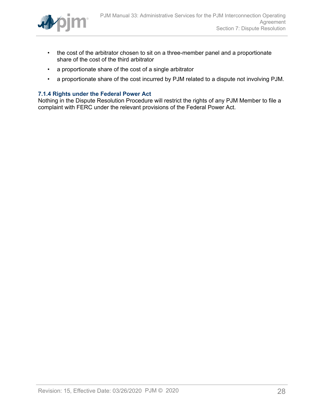

- the cost of the arbitrator chosen to sit on a three-member panel and a proportionate share of the cost of the third arbitrator
- a proportionate share of the cost of a single arbitrator
- a proportionate share of the cost incurred by PJM related to a dispute not involving PJM.

### <span id="page-27-0"></span>**7.1.4 Rights under the Federal Power Act**

Nothing in the Dispute Resolution Procedure will restrict the rights of any PJM Member to file a complaint with FERC under the relevant provisions of the Federal Power Act.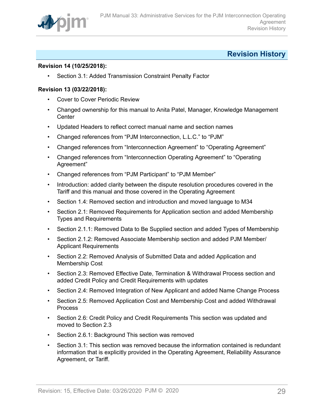

# <span id="page-28-0"></span>**Revision History**

## **Revision 14 (10/25/2018):**

• Section 3.1: Added Transmission Constraint Penalty Factor

### **Revision 13 (03/22/2018):**

- Cover to Cover Periodic Review
- Changed ownership for this manual to Anita Patel, Manager, Knowledge Management **Center**
- Updated Headers to reflect correct manual name and section names
- Changed references from "PJM Interconnection, L.L.C." to "PJM"
- Changed references from "Interconnection Agreement" to "Operating Agreement"
- Changed references from "Interconnection Operating Agreement" to "Operating Agreement"
- Changed references from "PJM Participant" to "PJM Member"
- Introduction: added clarity between the dispute resolution procedures covered in the Tariff and this manual and those covered in the Operating Agreement
- Section 1.4: Removed section and introduction and moved language to M34
- Section 2.1: Removed Requirements for Application section and added Membership Types and Requirements
- Section 2.1.1: Removed Data to Be Supplied section and added Types of Membership
- Section 2.1.2: Removed Associate Membership section and added PJM Member/ Applicant Requirements
- Section 2.2: Removed Analysis of Submitted Data and added Application and Membership Cost
- Section 2.3: Removed Effective Date, Termination & Withdrawal Process section and added Credit Policy and Credit Requirements with updates
- Section 2.4: Removed Integration of New Applicant and added Name Change Process
- Section 2.5: Removed Application Cost and Membership Cost and added Withdrawal Process
- Section 2.6: Credit Policy and Credit Requirements This section was updated and moved to Section 2.3
- Section 2.6.1: Background This section was removed
- Section 3.1: This section was removed because the information contained is redundant information that is explicitly provided in the Operating Agreement, Reliability Assurance Agreement, or Tariff.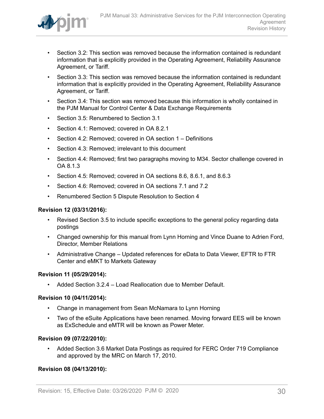

- Section 3.2: This section was removed because the information contained is redundant information that is explicitly provided in the Operating Agreement, Reliability Assurance Agreement, or Tariff.
- Section 3.3: This section was removed because the information contained is redundant information that is explicitly provided in the Operating Agreement, Reliability Assurance Agreement, or Tariff.
- Section 3.4: This section was removed because this information is wholly contained in the PJM Manual for Control Center & Data Exchange Requirements
- Section 3.5: Renumbered to Section 3.1
- Section 4.1: Removed; covered in OA 8.2.1
- Section 4.2: Removed; covered in OA section 1 Definitions
- Section 4.3: Removed; irrelevant to this document
- Section 4.4: Removed; first two paragraphs moving to M34. Sector challenge covered in OA 8.1.3
- Section 4.5: Removed; covered in OA sections 8.6, 8.6.1, and 8.6.3
- Section 4.6: Removed; covered in OA sections 7.1 and 7.2
- Renumbered Section 5 Dispute Resolution to Section 4

### **Revision 12 (03/31/2016):**

- Revised Section 3.5 to include specific exceptions to the general policy regarding data postings
- Changed ownership for this manual from Lynn Horning and Vince Duane to Adrien Ford, Director, Member Relations
- Administrative Change Updated references for eData to Data Viewer, EFTR to FTR Center and eMKT to Markets Gateway

## **Revision 11 (05/29/2014):**

• Added Section 3.2.4 – Load Reallocation due to Member Default.

### **Revision 10 (04/11/2014):**

- Change in management from Sean McNamara to Lynn Horning
- Two of the eSuite Applications have been renamed. Moving forward EES will be known as ExSchedule and eMTR will be known as Power Meter.

### **Revision 09 (07/22/2010):**

• Added Section 3.6 Market Data Postings as required for FERC Order 719 Compliance and approved by the MRC on March 17, 2010.

## **Revision 08 (04/13/2010):**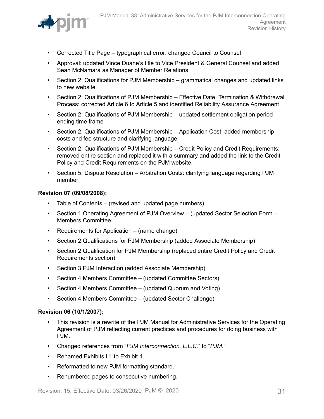

- Corrected Title Page typographical error: changed Council to Counsel
- Approval: updated Vince Duane's title to Vice President & General Counsel and added Sean McNamara as Manager of Member Relations
- Section 2: Qualifications for PJM Membership grammatical changes and updated links to new website
- Section 2: Qualifications of PJM Membership Effective Date, Termination & Withdrawal Process: corrected Article 6 to Article 5 and identified Reliability Assurance Agreement
- Section 2: Qualifications of PJM Membership updated settlement obligation period ending time frame
- Section 2: Qualifications of PJM Membership Application Cost: added membership costs and fee structure and clarifying language
- Section 2: Qualifications of PJM Membership Credit Policy and Credit Requirements: removed entire section and replaced it with a summary and added the link to the Credit Policy and Credit Requirements on the PJM website.
- Section 5: Dispute Resolution Arbitration Costs: clarifying language regarding PJM member

### **Revision 07 (09/08/2008):**

- Table of Contents (revised and updated page numbers)
- Section 1 Operating Agreement of PJM Overview (updated Sector Selection Form Members Committee
- Requirements for Application (name change)
- Section 2 Qualifications for PJM Membership (added Associate Membership)
- Section 2 Qualification for PJM Membership (replaced entire Credit Policy and Credit Requirements section)
- Section 3 PJM Interaction (added Associate Membership)
- Section 4 Members Committee (updated Committee Sectors)
- Section 4 Members Committee (updated Quorum and Voting)
- Section 4 Members Committee (updated Sector Challenge)

### **Revision 06 (10/1/2007):**

- This revision is a rewrite of the PJM Manual for Administrative Services for the Operating Agreement of PJM reflecting current practices and procedures for doing business with PJM.
- Changed references from "*PJM Interconnection, L.L.C.*" to "*PJM*."
- Renamed Exhibits I.1 to Exhibit 1.
- Reformatted to new PJM formatting standard.
- Renumbered pages to consecutive numbering.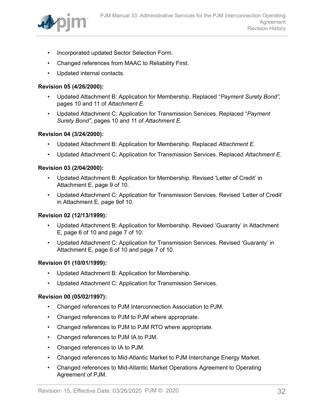

- Incorporated updated Sector Selection Form.
- Changed references from MAAC to Reliability First.
- Updated internal contacts.

## **Revision 05 (4/26/2000):**

- Updated Attachment B: Application for Membership. Replaced "*Payment Surety Bond",* pages 10 and 11 of *Attachment E.*
- Updated Attachment C: Application for Transmission Services. Replaced "*Payment Surety Bond",* pages 10 and 11 of *Attachment E.*

### **Revision 04 (3/24/2000):**

- Updated Attachment B: Application for Membership. Replaced *Attachment E.*
- Updated Attachment C: Application for Transmission Services. Replaced *Attachment E.*

### **Revision 03 (2/04/2000):**

- Updated Attachment B: Application for Membership. Revised 'Letter of Credit' in Attachment E, page 9 of 10.
- Updated Attachment C: Application for Transmission Services. Revised 'Letter of Credit' in Attachment E, page 9of 10.

## **Revision 02 (12/13/1999):**

- Updated Attachment B: Application for Membership. Revised 'Guaranty' in Attachment E, page 6 of 10 and page 7 of 10.
- Updated Attachment C: Application for Transmission Services. Revised 'Guaranty' in Attachment E, page 6 of 10 and page 7 of 10.

### **Revision 01 (10/01/1999):**

- Updated Attachment B: Application for Membership.
- Updated Attachment C: Application for Transmission Services.

### **Revision 00 (05/02/1997):**

- Changed references to PJM Interconnection Association to PJM.
- Changed references to PJM to PJM where appropriate.
- Changed references to PJM to PJM RTO where appropriate.
- Changed references to PJM IA to PJM.
- Changed references to IA to PJM.
- Changed references to Mid-Atlantic Market to PJM Interchange Energy Market.
- Changed references to Mid-Atlantic Market Operations Agreement to Operating Agreement of PJM.